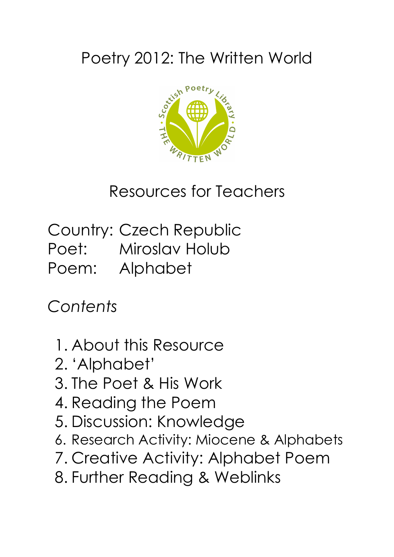# Poetry 2012: The Written World



Resources for Teachers

Country: Czech Republic Poet: Miroslav Holub Poem: Alphabet

*Contents*

- 1. About this Resource
- 2. 'Alphabet'
- 3. The Poet & His Work
- 4. Reading the Poem
- 5. Discussion: Knowledge
- 6. Research Activity: Miocene & Alphabets
- 7. Creative Activity: Alphabet Poem
- 8. Further Reading & Weblinks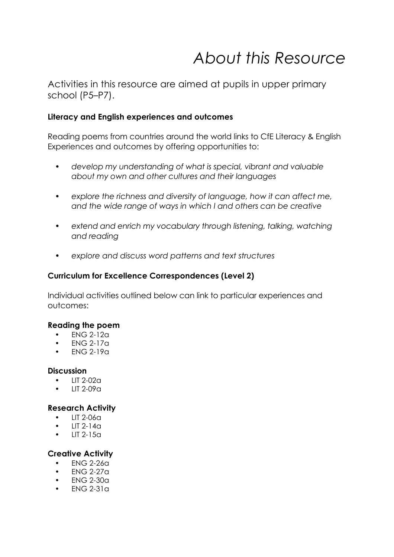# *About this Resource*

Activities in this resource are aimed at pupils in upper primary school (P5–P7).

### **Literacy and English experiences and outcomes**

Reading poems from countries around the world links to CfE Literacy & English Experiences and outcomes by offering opportunities to:

- *• develop my understanding of what is special, vibrant and valuable about my own and other cultures and their languages*
- *• explore the richness and diversity of language, how it can affect me, and the wide range of ways in which I and others can be creative*
- *• extend and enrich my vocabulary through listening, talking, watching and reading*
- *• explore and discuss word patterns and text structures*

### **Curriculum for Excellence Correspondences (Level 2)**

Individual activities outlined below can link to particular experiences and outcomes:

#### **Reading the poem**

- ENG 2-12a
- ENG 2-17a
- ENG 2-19a

#### **Discussion**

- LIT 2-02a
- LIT 2-09a

### **Research Activity**

- LIT 2-06a
- $IIT 2-14a$
- $LIT 2-15a$

### **Creative Activity**

- ENG 2-26a
- ENG 2-27a
- ENG 2-30a
- ENG 2-31a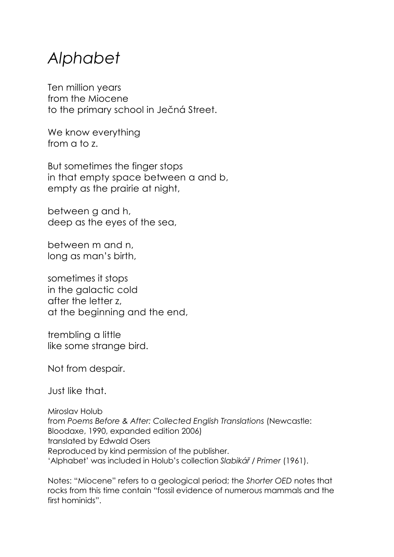## *Alphabet*

Ten million years from the Miocene to the primary school in Ječná Street.

We know everything from a to z.

But sometimes the finger stops in that empty space between a and b, empty as the prairie at night,

between g and h, deep as the eyes of the sea,

between m and n, long as man's birth,

sometimes it stops in the galactic cold after the letter z, at the beginning and the end,

trembling a little like some strange bird.

Not from despair.

Just like that.

Miroslav Holub from *Poems Before & After: Collected English Translations* (Newcastle: Bloodaxe, 1990, expanded edition 2006) translated by Edwald Osers Reproduced by kind permission of the publisher. 'Alphabet' was included in Holub's collection *Slabikář* / *Primer* (1961).

Notes: "Miocene" refers to a geological period; the *Shorter OED* notes that rocks from this time contain "fossil evidence of numerous mammals and the first hominids".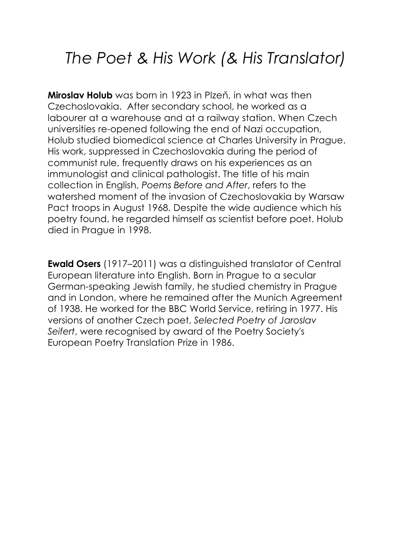## *The Poet & His Work (& His Translator)*

**Miroslav Holub** was born in 1923 in Plzeň, in what was then Czechoslovakia. After secondary school, he worked as a labourer at a warehouse and at a railway station. When Czech universities re-opened following the end of Nazi occupation, Holub studied biomedical science at Charles University in Prague. His work, suppressed in Czechoslovakia during the period of communist rule, frequently draws on his experiences as an immunologist and clinical pathologist. The title of his main collection in English, *Poems Before and After*, refers to the watershed moment of the invasion of Czechoslovakia by Warsaw Pact troops in August 1968. Despite the wide audience which his poetry found, he regarded himself as scientist before poet. Holub died in Prague in 1998.

**Ewald Osers** (1917–2011) was a distinguished translator of Central European literature into English. Born in Prague to a secular German-speaking Jewish family, he studied chemistry in Prague and in London, where he remained after the Munich Agreement of 1938. He worked for the BBC World Service, retiring in 1977. His versions of another Czech poet, *Selected Poetry of Jaroslav Seifert*, were recognised by award of the Poetry Society's European Poetry Translation Prize in 1986.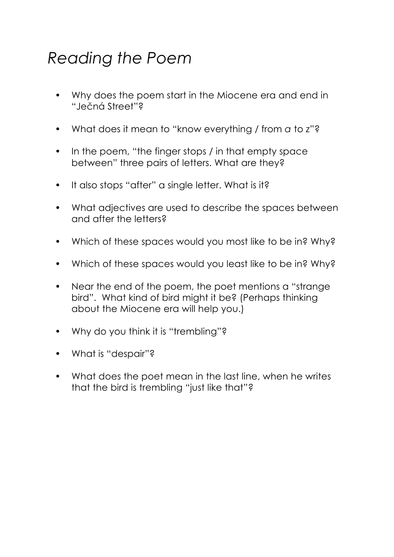## *Reading the Poem*

- Why does the poem start in the Miocene era and end in "Ječná Street"?
- What does it mean to "know everything / from *a* to *z*"?
- In the poem, "the finger stops / in that empty space between" three pairs of letters. What are they?
- It also stops "after" a single letter. What is it?
- What adjectives are used to describe the spaces between and after the letters?
- Which of these spaces would you most like to be in? Why?
- Which of these spaces would you least like to be in? Why?
- Near the end of the poem, the poet mentions a "strange" bird". What kind of bird might it be? (Perhaps thinking about the Miocene era will help you.)
- Why do you think it is "trembling"?
- What is "despair"?
- What does the poet mean in the last line, when he writes that the bird is trembling "just like that"?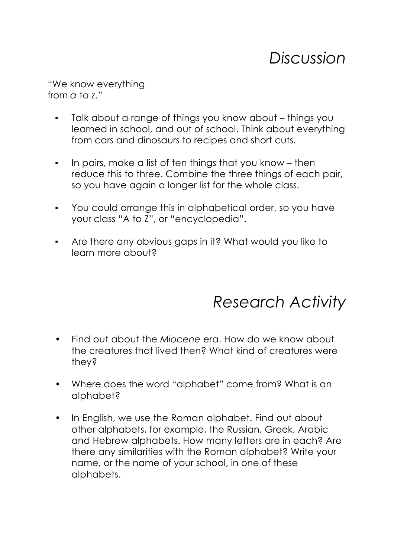### *Discussion*

"We know everything from *a* to *z*."

- Talk about a range of things you know about things you learned in school, and out of school. Think about everything from cars and dinosaurs to recipes and short cuts.
- In pairs, make a list of ten things that you know then reduce this to three. Combine the three things of each pair, so you have again a longer list for the whole class.
- You could arrange this in alphabetical order, so you have your class "A to Z", or "encyclopedia".
- Are there any obvious gaps in it? What would you like to learn more about?

## *Research Activity*

- Find out about the *Miocene* era. How do we know about the creatures that lived then? What kind of creatures were they?
- Where does the word "alphabet" come from? What is an alphabet?
- In English, we use the Roman alphabet. Find out about other alphabets, for example, the Russian, Greek, Arabic and Hebrew alphabets. How many letters are in each? Are there any similarities with the Roman alphabet? Write your name, or the name of your school, in one of these alphabets.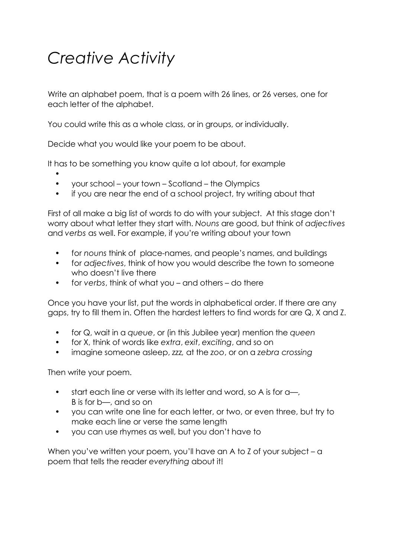# *Creative Activity*

Write an alphabet poem, that is a poem with 26 lines, or 26 verses, one for each letter of the alphabet.

You could write this as a whole class, or in groups, or individually.

Decide what you would like your poem to be about.

It has to be something you know quite a lot about, for example

- •
- your school your town Scotland the Olympics
- if you are near the end of a school project, try writing about that

First of all make a big list of words to do with your subject. At this stage don't worry about what letter they start with. *Nouns* are good, but think of *adjectives* and *verbs* as well. For example, if you're writing about your town

- for *nouns* think of place-names, and people's names, and buildings
- for *adjectives*, think of how you would describe the town to someone who doesn't live there
- for *verbs*, think of what you and others do there

Once you have your list, put the words in alphabetical order. If there are any gaps, try to fill them in. Often the hardest letters to find words for are Q, X and Z.

- for Q, wait in a *queue*, or (in this Jubilee year) mention the *queen*
- for X, think of words like *extra*, *exit*, *exciting*, and so on
- imagine someone asleep, *zzz,* at the *zoo*, or on a *zebra crossing*

Then write your poem.

- start each line or verse with its letter and word, so A is for a-, B is for b—, and so on
- you can write one line for each letter, or two, or even three, but try to make each line or verse the same length
- you can use rhymes as well, but you don't have to

When you've written your poem, you'll have an A to Z of your subject – a poem that tells the reader *everything* about it!